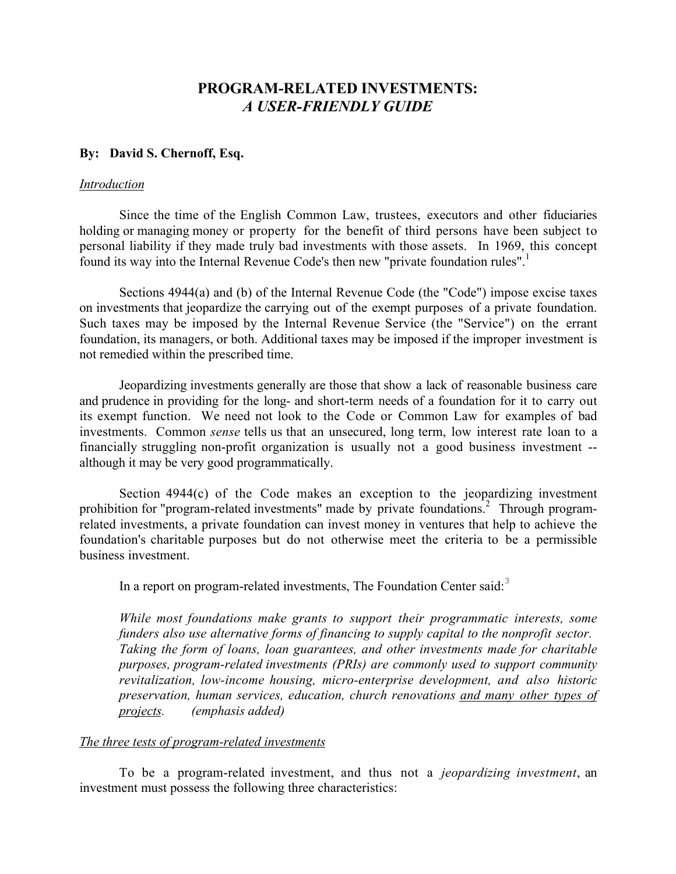# **PROGRAM-RELATED INVESTMENTS:** *A USER-FRIENDLY GUIDE*

## **By: David S. Chernoff, Esq.**

### *Introduction*

Since the time of the English Common Law, trustees, executors and other fiduciaries holding or managing money or property for the benefit of third persons have been subject to personal liability if they made truly bad investments with those assets. In 1969, this concept found its way into the Internal Revenue Code's then new "private foundation rules".

Sections 4944(a) and (b) of the Internal Revenue Code (the "Code") impose excise taxes on investments that jeopardize the carrying out of the exempt purposes of a private foundation. Such taxes may be imposed by the Internal Revenue Service (the "Service") on the errant foundation, its managers, or both. Additional taxes may be imposed if the improper investment is not remedied within the prescribed time.

Jeopardizing investments generally are those that show a lack of reasonable business care and prudence in providing for the long- and short-term needs of a foundation for it to carry out its exempt function. We need not look to the Code or Common Law for examples of bad investments. Common *sense* tells us that an unsecured, long term, low interest rate loan to a financially struggling non-profit organization is usually not a good business investment - although it may be very good programmatically.

Section 4944(c) of the Code makes an exception to the jeopardizing investment prohibition for "program-related investments" made by private foundations.<sup>2</sup> Through programrelated investments, a private foundation can invest money in ventures that help to achieve the foundation's charitable purposes but do not otherwise meet the criteria to be a permissible business investment.

In a report on program-related investments, The Foundation Center said: $3$ 

*While most foundations make grants to support their programmatic interests, some funders also use alternative forms of financing to supply capital to the nonprofit sector. Taking the form of loans, loan guarantees, and other investments made for charitable purposes, program-related investments (PRIs) are commonly used to support community revitalization, low-income housing, micro-enterprise development, and also historic preservation, human services, education, church renovations and many other types of projects. (emphasis added)*

## *The three tests of program-related investments*

To be a program-related investment, and thus not a *jeopardizing investment*, an investment must possess the following three characteristics: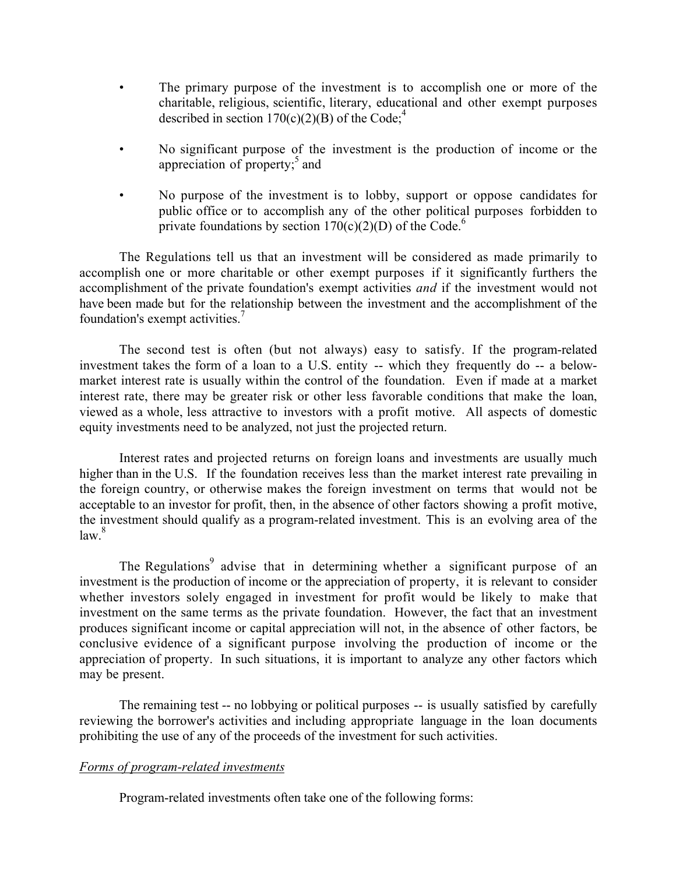- The primary purpose of the investment is to accomplish one or more of the charitable, religious, scientific, literary, educational and other exempt purposes described in section  $170(c)(2)(B)$  of the Code;<sup>4</sup>
- No significant purpose of the investment is the production of income or the appreciation of property; $5$  and
- No purpose of the investment is to lobby, support or oppose candidates for public office or to accomplish any of the other political purposes forbidden to private foundations by section  $170(c)(2)(D)$  of the Code.<sup>6</sup>

The Regulations tell us that an investment will be considered as made primarily to accomplish one or more charitable or other exempt purposes if it significantly furthers the accomplishment of the private foundation's exempt activities *and* if the investment would not have been made but for the relationship between the investment and the accomplishment of the foundation's exempt activities.<sup>7</sup>

The second test is often (but not always) easy to satisfy. If the program-related investment takes the form of a loan to a U.S. entity -- which they frequently do -- a belowmarket interest rate is usually within the control of the foundation. Even if made at a market interest rate, there may be greater risk or other less favorable conditions that make the loan, viewed as a whole, less attractive to investors with a profit motive. All aspects of domestic equity investments need to be analyzed, not just the projected return.

Interest rates and projected returns on foreign loans and investments are usually much higher than in the U.S. If the foundation receives less than the market interest rate prevailing in the foreign country, or otherwise makes the foreign investment on terms that would not be acceptable to an investor for profit, then, in the absence of other factors showing a profit motive, the investment should qualify as a program-related investment. This is an evolving area of the  $\sqrt{8}$ 

The Regulations<sup>9</sup> advise that in determining whether a significant purpose of an investment is the production of income or the appreciation of property, it is relevant to consider whether investors solely engaged in investment for profit would be likely to make that investment on the same terms as the private foundation. However, the fact that an investment produces significant income or capital appreciation will not, in the absence of other factors, be conclusive evidence of a significant purpose involving the production of income or the appreciation of property. In such situations, it is important to analyze any other factors which may be present.

The remaining test -- no lobbying or political purposes -- is usually satisfied by carefully reviewing the borrower's activities and including appropriate language in the loan documents prohibiting the use of any of the proceeds of the investment for such activities.

### *Forms of program-related investments*

Program-related investments often take one of the following forms: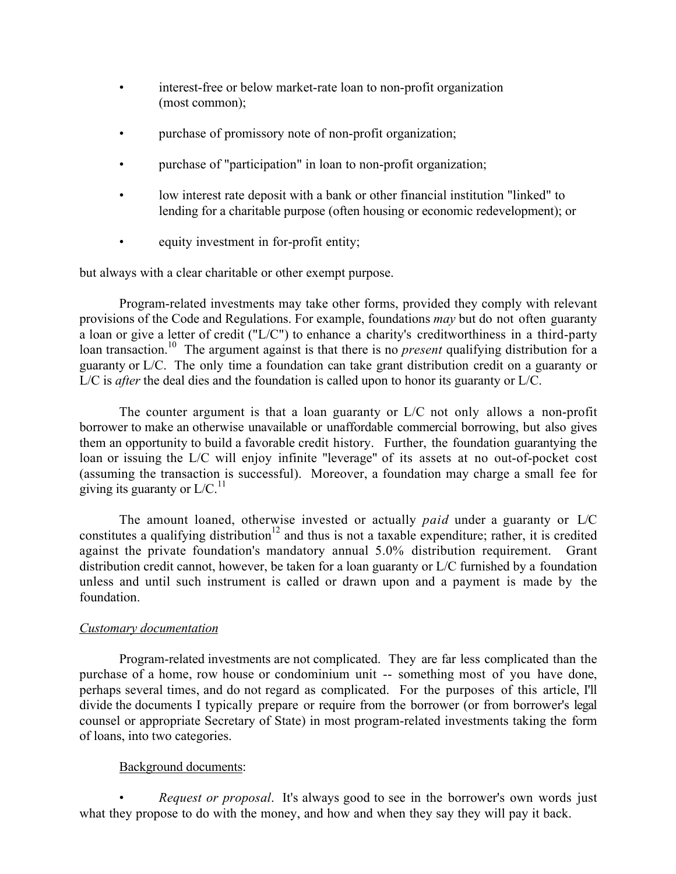- interest-free or below market-rate loan to non-profit organization (most common);
- purchase of promissory note of non-profit organization;
- purchase of "participation" in loan to non-profit organization;
- low interest rate deposit with a bank or other financial institution "linked" to lending for a charitable purpose (often housing or economic redevelopment); or
- equity investment in for-profit entity;

but always with a clear charitable or other exempt purpose.

Program-related investments may take other forms, provided they comply with relevant provisions of the Code and Regulations. For example, foundations *may* but do not often guaranty a loan or give a letter of credit ("L/C") to enhance a charity's creditworthiness in a third-party loan transaction.<sup>10</sup> The argument against is that there is no *present* qualifying distribution for a guaranty or L/C. The only time a foundation can take grant distribution credit on a guaranty or L/C is *after* the deal dies and the foundation is called upon to honor its guaranty or L/C.

The counter argument is that a loan guaranty or L/C not only allows a non-profit borrower to make an otherwise unavailable or unaffordable commercial borrowing, but also gives them an opportunity to build a favorable credit history. Further, the foundation guarantying the loan or issuing the L/C will enjoy infinite "leverage" of its assets at no out-of-pocket cost (assuming the transaction is successful). Moreover, a foundation may charge a small fee for giving its guaranty or  $L/C$ <sup>11</sup>

The amount loaned, otherwise invested or actually *paid* under a guaranty or L/C constitutes a qualifying distribution<sup>12</sup> and thus is not a taxable expenditure; rather, it is credited against the private foundation's mandatory annual 5.0% distribution requirement. Grant distribution credit cannot, however, be taken for a loan guaranty or L/C furnished by a foundation unless and until such instrument is called or drawn upon and a payment is made by the foundation.

## *Customary documentation*

Program-related investments are not complicated. They are far less complicated than the purchase of a home, row house or condominium unit -- something most of you have done, perhaps several times, and do not regard as complicated. For the purposes of this article, I'll divide the documents I typically prepare or require from the borrower (or from borrower's legal counsel or appropriate Secretary of State) in most program-related investments taking the form of loans, into two categories.

## Background documents:

• *Request or proposal*. It's always good to see in the borrower's own words just what they propose to do with the money, and how and when they say they will pay it back.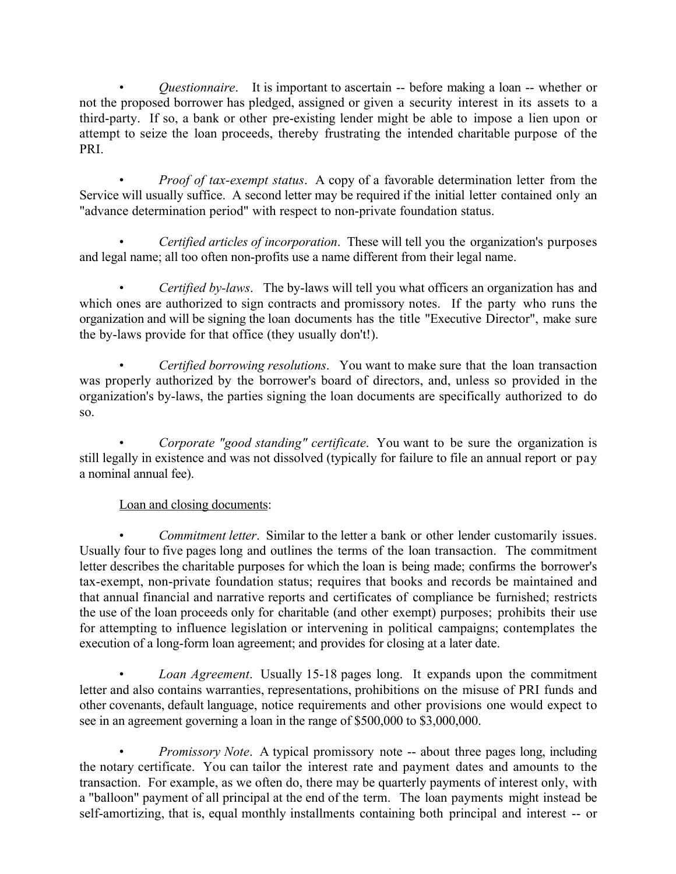• *Questionnaire*. It is important to ascertain -- before making a loan -- whether or not the proposed borrower has pledged, assigned or given a security interest in its assets to a third-party. If so, a bank or other pre-existing lender might be able to impose a lien upon or attempt to seize the loan proceeds, thereby frustrating the intended charitable purpose of the PRI.

• *Proof of tax-exempt status*. A copy of a favorable determination letter from the Service will usually suffice. A second letter may be required if the initial letter contained only an "advance determination period" with respect to non-private foundation status.

• *Certified articles of incorporation*. These will tell you the organization's purposes and legal name; all too often non-profits use a name different from their legal name.

• *Certified by-laws*. The by-laws will tell you what officers an organization has and which ones are authorized to sign contracts and promissory notes. If the party who runs the organization and will be signing the loan documents has the title "Executive Director", make sure the by-laws provide for that office (they usually don't!).

• *Certified borrowing resolutions*. You want to make sure that the loan transaction was properly authorized by the borrower's board of directors, and, unless so provided in the organization's by-laws, the parties signing the loan documents are specifically authorized to do so.

• *Corporate "good standing" certificate*. You want to be sure the organization is still legally in existence and was not dissolved (typically for failure to file an annual report or pay a nominal annual fee).

Loan and closing documents:

• *Commitment letter*. Similar to the letter a bank or other lender customarily issues. Usually four to five pages long and outlines the terms of the loan transaction. The commitment letter describes the charitable purposes for which the loan is being made; confirms the borrower's tax-exempt, non-private foundation status; requires that books and records be maintained and that annual financial and narrative reports and certificates of compliance be furnished; restricts the use of the loan proceeds only for charitable (and other exempt) purposes; prohibits their use for attempting to influence legislation or intervening in political campaigns; contemplates the execution of a long-form loan agreement; and provides for closing at a later date.

• *Loan Agreement*. Usually 15-18 pages long. It expands upon the commitment letter and also contains warranties, representations, prohibitions on the misuse of PRI funds and other covenants, default language, notice requirements and other provisions one would expect to see in an agreement governing a loan in the range of \$500,000 to \$3,000,000.

*Promissory Note.* A typical promissory note -- about three pages long, including the notary certificate. You can tailor the interest rate and payment dates and amounts to the transaction. For example, as we often do, there may be quarterly payments of interest only, with a "balloon" payment of all principal at the end of the term. The loan payments might instead be self-amortizing, that is, equal monthly installments containing both principal and interest -- or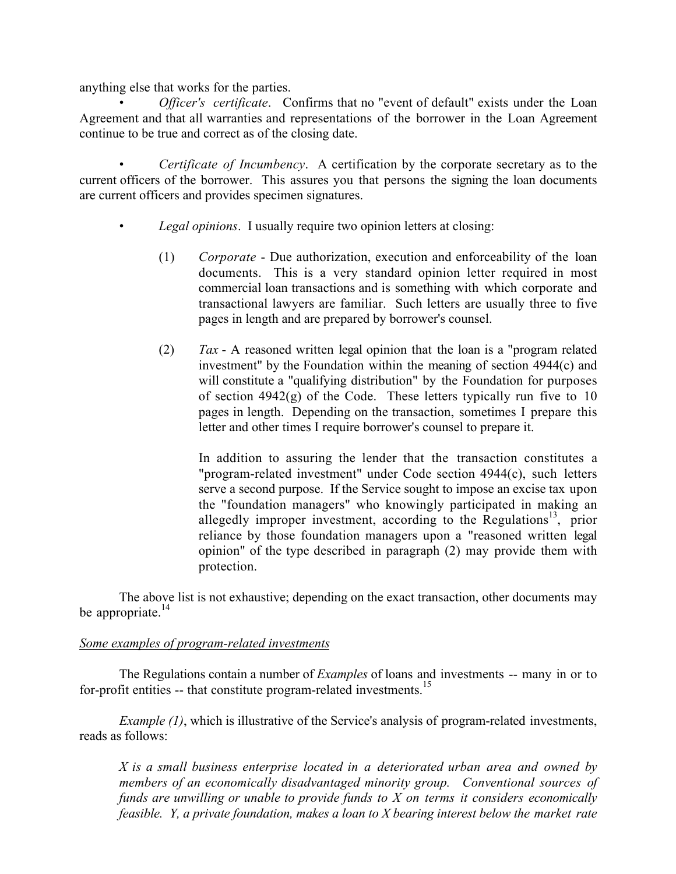anything else that works for the parties.

• *Officer's certificate*. Confirms that no "event of default" exists under the Loan Agreement and that all warranties and representations of the borrower in the Loan Agreement continue to be true and correct as of the closing date.

• *Certificate of Incumbency*. A certification by the corporate secretary as to the current officers of the borrower. This assures you that persons the signing the loan documents are current officers and provides specimen signatures.

- *Legal opinions*. I usually require two opinion letters at closing:
	- (1) *Corporate* Due authorization, execution and enforceability of the loan documents. This is a very standard opinion letter required in most commercial loan transactions and is something with which corporate and transactional lawyers are familiar. Such letters are usually three to five pages in length and are prepared by borrower's counsel.
	- (2) *Tax* A reasoned written legal opinion that the loan is a "program related investment" by the Foundation within the meaning of section 4944(c) and will constitute a "qualifying distribution" by the Foundation for purposes of section 4942(g) of the Code. These letters typically run five to 10 pages in length. Depending on the transaction, sometimes I prepare this letter and other times I require borrower's counsel to prepare it.

In addition to assuring the lender that the transaction constitutes a "program-related investment" under Code section 4944(c), such letters serve a second purpose. If the Service sought to impose an excise tax upon the "foundation managers" who knowingly participated in making an allegedly improper investment, according to the Regulations<sup>13</sup>, prior reliance by those foundation managers upon a "reasoned written legal opinion" of the type described in paragraph (2) may provide them with protection.

The above list is not exhaustive; depending on the exact transaction, other documents may be appropriate. $^{14}$ 

### *Some examples of program-related investments*

The Regulations contain a number of *Examples* of loans and investments -- many in or to for-profit entities -- that constitute program-related investments.<sup>15</sup>

*Example (1)*, which is illustrative of the Service's analysis of program-related investments, reads as follows:

*X is a small business enterprise located in a deteriorated urban area and owned by members of an economically disadvantaged minority group. Conventional sources of funds are unwilling or unable to provide funds to X on terms it considers economically feasible. Y, a private foundation, makes a loan to X bearing interest below the market rate*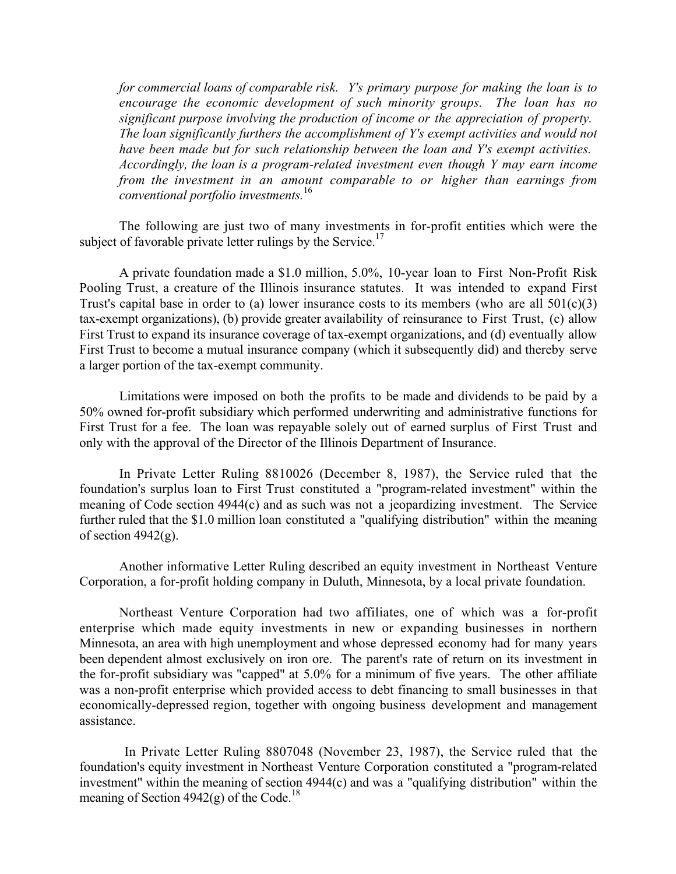*for commercial loans of comparable risk. Y's primary purpose for making the loan is to encourage the economic development of such minority groups. The loan has no significant purpose involving the production of income or the appreciation of property. The loan significantly furthers the accomplishment of Y's exempt activities and would not have been made but for such relationship between the loan and Y's exempt activities. Accordingly, the loan is a program-related investment even though Y may earn income from the investment in an amount comparable to or higher than earnings from conventional portfolio investments.*<sup>16</sup>

The following are just two of many investments in for-profit entities which were the subject of favorable private letter rulings by the Service.<sup>17</sup>

A private foundation made a \$1.0 million, 5.0%, 10-year loan to First Non-Profit Risk Pooling Trust, a creature of the Illinois insurance statutes. It was intended to expand First Trust's capital base in order to (a) lower insurance costs to its members (who are all  $501(c)(3)$ tax-exempt organizations), (b) provide greater availability of reinsurance to First Trust, (c) allow First Trust to expand its insurance coverage of tax-exempt organizations, and (d) eventually allow First Trust to become a mutual insurance company (which it subsequently did) and thereby serve a larger portion of the tax-exempt community.

Limitations were imposed on both the profits to be made and dividends to be paid by a 50% owned for-profit subsidiary which performed underwriting and administrative functions for First Trust for a fee. The loan was repayable solely out of earned surplus of First Trust and only with the approval of the Director of the Illinois Department of Insurance.

In Private Letter Ruling 8810026 (December 8, 1987), the Service ruled that the foundation's surplus loan to First Trust constituted a "program-related investment" within the meaning of Code section 4944(c) and as such was not a jeopardizing investment. The Service further ruled that the \$1.0 million loan constituted a "qualifying distribution" within the meaning of section  $4942(g)$ .

Another informative Letter Ruling described an equity investment in Northeast Venture Corporation, a for-profit holding company in Duluth, Minnesota, by a local private foundation.

Northeast Venture Corporation had two affiliates, one of which was a for-profit enterprise which made equity investments in new or expanding businesses in northern Minnesota, an area with high unemployment and whose depressed economy had for many years been dependent almost exclusively on iron ore. The parent's rate of return on its investment in the for-profit subsidiary was "capped" at 5.0% for a minimum of five years. The other affiliate was a non-profit enterprise which provided access to debt financing to small businesses in that economically-depressed region, together with ongoing business development and management assistance.

In Private Letter Ruling 8807048 (November 23, 1987), the Service ruled that the foundation's equity investment in Northeast Venture Corporation constituted a "program-related investment" within the meaning of section 4944(c) and was a "qualifying distribution" within the meaning of Section  $4942(g)$  of the Code.<sup>18</sup>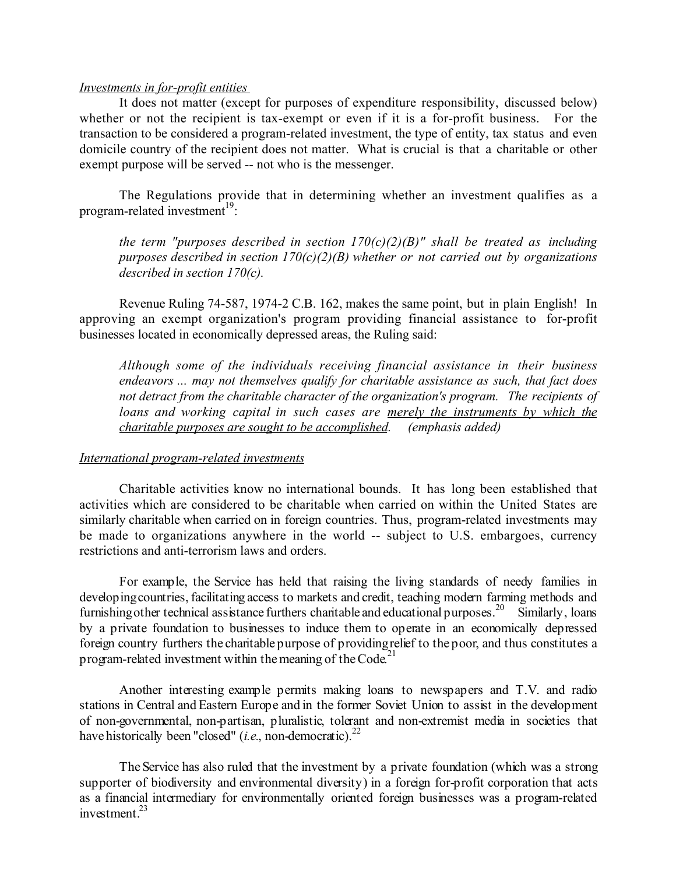#### *Investments in for-profit entities*

It does not matter (except for purposes of expenditure responsibility, discussed below) whether or not the recipient is tax-exempt or even if it is a for-profit business. For the transaction to be considered a program-related investment, the type of entity, tax status and even domicile country of the recipient does not matter. What is crucial is that a charitable or other exempt purpose will be served -- not who is the messenger.

The Regulations provide that in determining whether an investment qualifies as a program-related investment<sup>19</sup>:

*the term "purposes described in section 170(c)(2)(B)" shall be treated as including purposes described in section 170(c)(2)(B) whether or not carried out by organizations described in section 170(c).* 

Revenue Ruling 74-587, 1974-2 C.B. 162, makes the same point, but in plain English! In approving an exempt organization's program providing financial assistance to for-profit businesses located in economically depressed areas, the Ruling said:

*Although some of the individuals receiving financial assistance in their business endeavors ... may not themselves qualify for charitable assistance as such, that fact does not detract from the charitable character of the organization's program. The recipients of loans and working capital in such cases are merely the instruments by which the charitable purposes are sought to be accomplished. (emphasis added)*

#### *International program-related investments*

Charitable activities know no international bounds. It has long been established that activities which are considered to be charitable when carried on within the United States are similarly charitable when carried on in foreign countries. Thus, program-related investments may be made to organizations anywhere in the world -- subject to U.S. embargoes, currency restrictions and anti-terrorism laws and orders.

For example, the Service has held that raising the living standards of needy families in developing countries, facilitating access to markets and credit, teaching modern farming methods and furnishing other technical assistance furthers charitable and educational purposes.<sup>20</sup> Similarly, loans by a private foundation to businesses to induce them to operate in an economically depressed foreign country furthers the charitable purpose of providingrelief to the poor, and thus constitutes a program-related investment within the meaning of the Code.<sup>21</sup>

Another interesting example permits making loans to newspapers and T.V. and radio stations in Central and Eastern Europe and in the former Soviet Union to assist in the development of non-governmental, non-partisan, pluralistic, tolerant and non-extremist media in societies that have historically been "closed" (*i.e.*, non-democratic).<sup>22</sup>

The Service has also ruled that the investment by a private foundation (which was a strong supporter of biodiversity and environmental diversity) in a foreign for-profit corporation that acts as a financial intermediary for environmentally oriented foreign businesses was a program-related investment. 23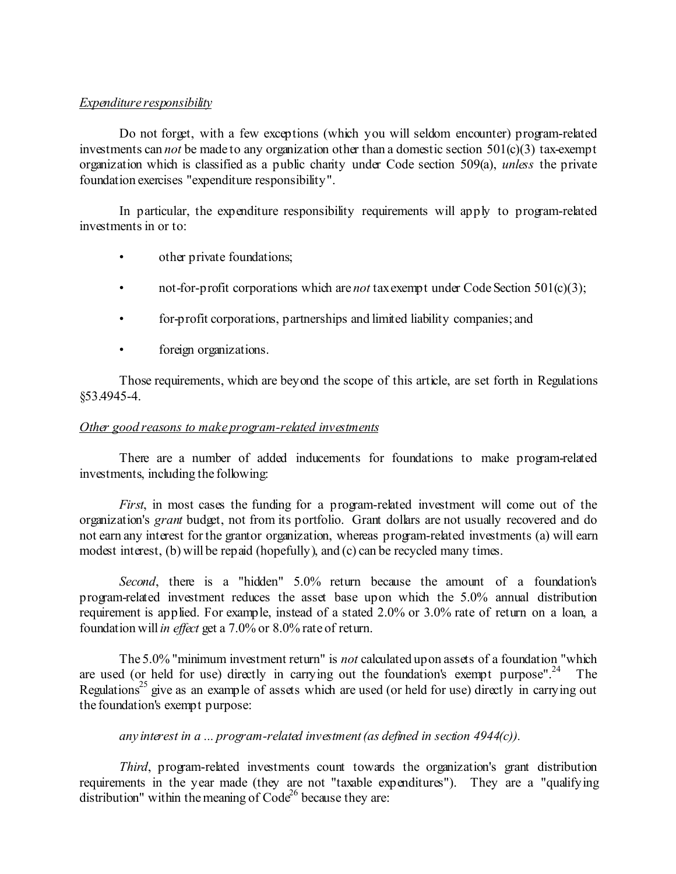### *Expenditure responsibility*

Do not forget, with a few exceptions (which you will seldom encounter) program-related investments can *not* be made to any organization other than a domestic section 501(c)(3) tax-exempt organization which is classified as a public charity under Code section 509(a), *unless* the private foundation exercises "expenditure responsibility".

In particular, the expenditure responsibility requirements will apply to program-related investments in or to:

- other private foundations;
- not-for-profit corporations which are *not* tax exempt under Code Section 501(c)(3);
- for-profit corporations, partnerships and limited liability companies; and
- foreign organizations.

Those requirements, which are beyond the scope of this article, are set forth in Regulations §53.4945-4.

## *Other good reasons to make program-related investments*

There are a number of added inducements for foundations to make program-related investments, including the following:

*First*, in most cases the funding for a program-related investment will come out of the organization's *grant* budget, not from its portfolio. Grant dollars are not usually recovered and do not earn any interest for the grantor organization, whereas program-related investments (a) will earn modest interest, (b) will be repaid (hopefully), and (c) can be recycled many times.

*Second*, there is a "hidden" 5.0% return because the amount of a foundation's program-related investment reduces the asset base upon which the 5.0% annual distribution requirement is applied. For example, instead of a stated 2.0% or 3.0% rate of return on a loan, a foundation will*in effect* get a 7.0% or 8.0% rate of return.

The 5.0% "minimum investment return" is *not* calculated upon assets of a foundation "which are used (or held for use) directly in carrying out the foundation's exempt purpose".  $^{24}$ The Regulations<sup>25</sup> give as an example of assets which are used (or held for use) directly in carrying out the foundation's exempt purpose:

## *any interest in a ... program-related investment(as defined in section 4944(c)).*

*Third*, program-related investments count towards the organization's grant distribution requirements in the year made (they are not "taxable expenditures"). They are a "qualifying distribution" within the meaning of  $Code<sup>26</sup>$  because they are: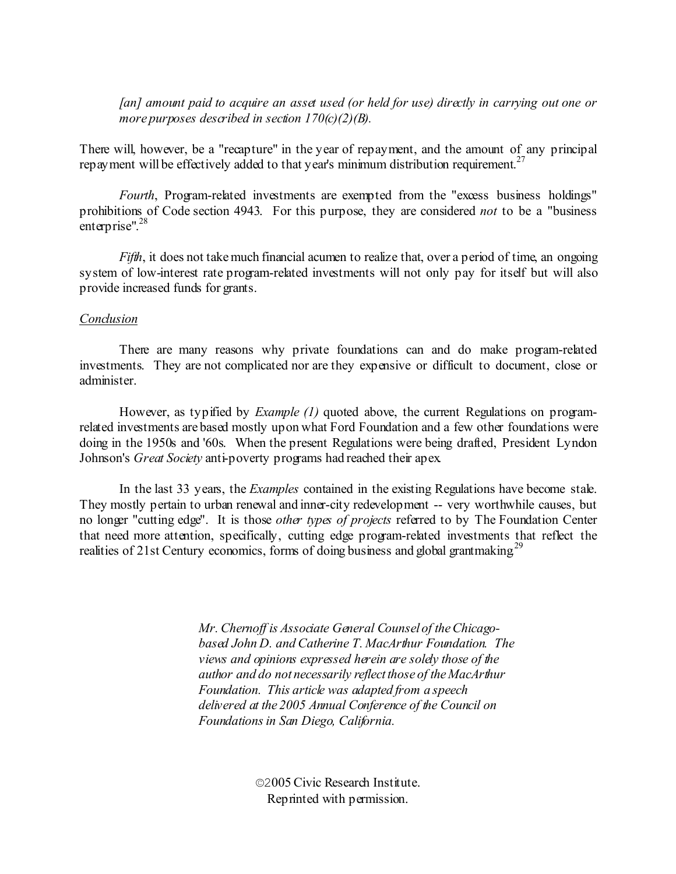*[an] amount paid to acquire an asset used (or held for use) directly in carrying out one or more purposes described in section 170(c)(2)(B).*

There will, however, be a "recapture" in the year of repayment, and the amount of any principal repayment will be effectively added to that year's minimum distribution requirement.<sup>27</sup>

*Fourth*, Program-related investments are exempted from the "excess business holdings" prohibitions of Code section 4943. For this purpose, they are considered *not* to be a "business enterprise".<sup>28</sup>

*Fifth*, it does not take much financial acumen to realize that, over a period of time, an ongoing system of low-interest rate program-related investments will not only pay for itself but will also provide increased funds for grants.

#### *Conclusion*

There are many reasons why private foundations can and do make program-related investments. They are not complicated nor are they expensive or difficult to document, close or administer.

However, as typified by *Example (1)* quoted above, the current Regulations on programrelated investments are based mostly upon what Ford Foundation and a few other foundations were doing in the 1950s and '60s. When the present Regulations were being drafted, President Lyndon Johnson's *Great Society* anti-poverty programs had reached their apex.

In the last 33 years, the *Examples* contained in the existing Regulations have become stale. They mostly pertain to urban renewal and inner-city redevelopment -- very worthwhile causes, but no longer "cutting edge". It is those *other types of projects* referred to by The Foundation Center that need more attention, specifically, cutting edge program-related investments that reflect the realities of 21st Century economics, forms of doing business and global grantmaking<sup>29</sup>

> *Mr.Chernoff is Associate General Counsel of theChicagobased John D. andCatherine T. MacArthur Foundation. The views and opinions expressed herein are solely those of the author and do not necessarily reflectthose of the MacArthur Foundation. This article was adapted from a speech delivered at the 2005 Annual Conference of the Council on Foundationsin San Diego, California.*

> > ©2005Civic Research Institute. Reprinted with permission.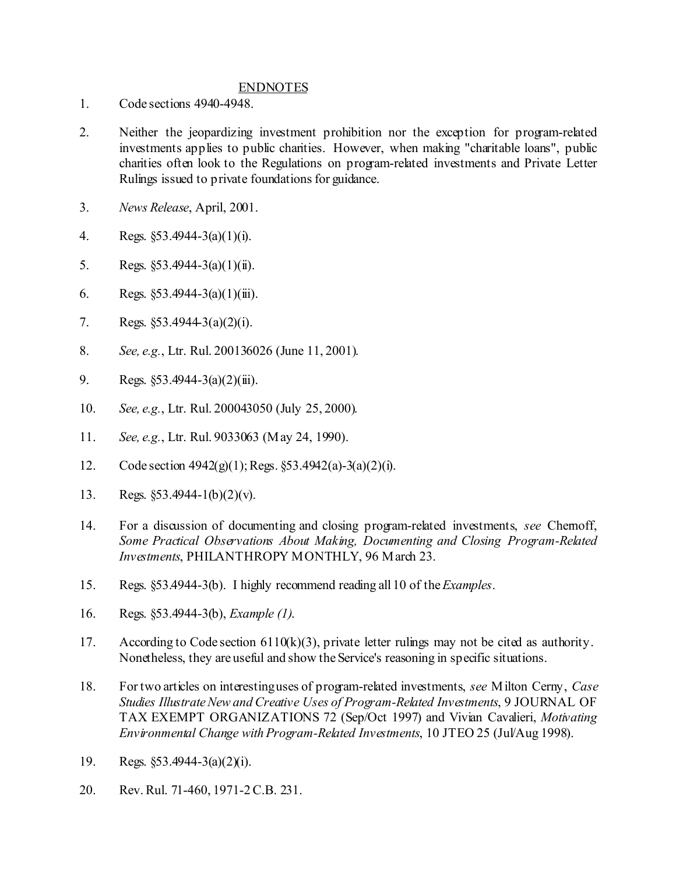#### ENDNOTES

- 1. Code sections 4940-4948.
- 2. Neither the jeopardizing investment prohibition nor the exception for program-related investments applies to public charities. However, when making "charitable loans", public charities often look to the Regulations on program-related investments and Private Letter Rulings issued to private foundations for guidance.
- 3. *News Release*, April, 2001.
- 4. Regs. §53.4944-3(a)(1)(i).
- 5. Regs.  $$53.4944-3(a)(1)(ii)$ .
- 6. Regs.  $$53.4944-3(a)(1)(iii)$ .
- 7. Regs. §53.4944-3(a)(2)(i).
- 8. *See, e.g.*, Ltr. Rul. 200136026 (June 11, 2001).
- 9. Regs.  $\S 53.4944 3(a)(2)(iii)$ .
- 10. *See, e.g.*, Ltr. Rul. 200043050 (July 25, 2000).
- 11. *See, e.g.*, Ltr. Rul. 9033063 (May 24, 1990).
- 12. Code section 4942(g)(1);Regs. §53.4942(a)-3(a)(2)(i).
- 13. Regs. §53.4944-1(b)(2)(v).
- 14. For a discussion of documenting and closing program-related investments, *see* Chernoff, *Some Practical Observations About Making, Documenting and Closing Program-Related Investments*, PHILANTHROPY MONTHLY, 96 March 23.
- 15. Regs. §53.4944-3(b). I highly recommend reading all 10 of the*Examples*.
- 16. Regs. §53.4944-3(b), *Example (1)*.
- 17. According to Code section 6110(k)(3), private letter rulings may not be cited as authority. Nonetheless, they are useful and show the Service's reasoning in specific situations.
- 18. For two articles on interestinguses of program-related investments, *see* Milton Cerny, *Case Studies IllustrateNewandCreative Uses of Program-Related Investments*, 9 JOURNAL OF TAX EXEMPT ORGANIZATIONS 72 (Sep/Oct 1997) and Vivian Cavalieri, *Motivating Environmental Change with Program-Related Investments*, 10 JTEO 25 (Jul/Aug 1998).
- 19. Regs. §53.4944-3(a)(2)(i).
- 20. Rev.Rul. 71-460, 1971-2C.B. 231.